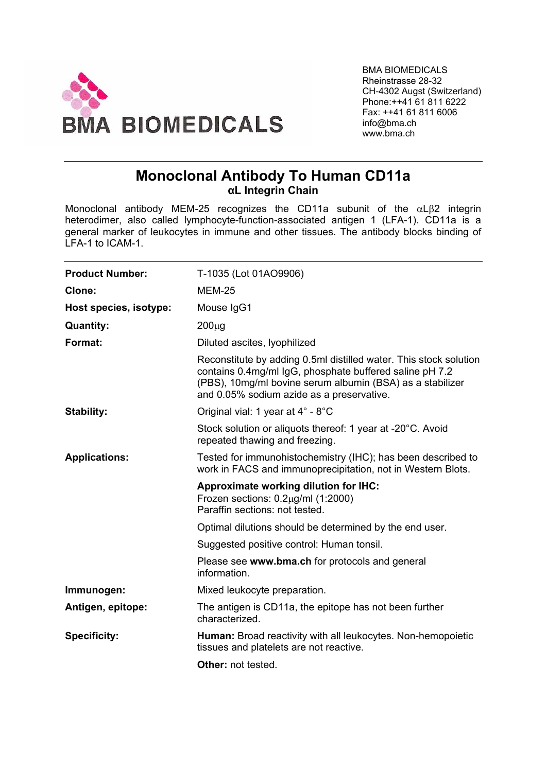

BMA BIOMEDICALS Rheinstrasse 28-32 CH-4302 Augst (Switzerland) Phone:++41 61 811 6222 Fax: ++41 61 811 6006 info@bma.ch www.bma.ch

## **Monoclonal Antibody To Human CD11a αL Integrin Chain**

Monoclonal antibody MEM-25 recognizes the CD11a subunit of the αLβ2 integrin heterodimer, also called lymphocyte-function-associated antigen 1 (LFA-1). CD11a is a general marker of leukocytes in immune and other tissues. The antibody blocks binding of LFA-1 to ICAM-1.

| <b>Product Number:</b> | T-1035 (Lot 01AO9906)                                                                                                                                                                                                                  |
|------------------------|----------------------------------------------------------------------------------------------------------------------------------------------------------------------------------------------------------------------------------------|
| Clone:                 | <b>MEM-25</b>                                                                                                                                                                                                                          |
| Host species, isotype: | Mouse IgG1                                                                                                                                                                                                                             |
| <b>Quantity:</b>       | $200\mug$                                                                                                                                                                                                                              |
| Format:                | Diluted ascites, lyophilized                                                                                                                                                                                                           |
|                        | Reconstitute by adding 0.5ml distilled water. This stock solution<br>contains 0.4mg/ml IgG, phosphate buffered saline pH 7.2<br>(PBS), 10mg/ml bovine serum albumin (BSA) as a stabilizer<br>and 0.05% sodium azide as a preservative. |
| <b>Stability:</b>      | Original vial: 1 year at 4° - 8°C                                                                                                                                                                                                      |
|                        | Stock solution or aliquots thereof: 1 year at -20°C. Avoid<br>repeated thawing and freezing.                                                                                                                                           |
| <b>Applications:</b>   | Tested for immunohistochemistry (IHC); has been described to<br>work in FACS and immunoprecipitation, not in Western Blots.                                                                                                            |
|                        | <b>Approximate working dilution for IHC:</b><br>Frozen sections: $0.2\mu$ g/ml (1:2000)<br>Paraffin sections: not tested.                                                                                                              |
|                        | Optimal dilutions should be determined by the end user.                                                                                                                                                                                |
|                        | Suggested positive control: Human tonsil.                                                                                                                                                                                              |
|                        | Please see www.bma.ch for protocols and general<br>information.                                                                                                                                                                        |
| Immunogen:             | Mixed leukocyte preparation.                                                                                                                                                                                                           |
| Antigen, epitope:      | The antigen is CD11a, the epitope has not been further<br>characterized.                                                                                                                                                               |
| <b>Specificity:</b>    | Human: Broad reactivity with all leukocytes. Non-hemopoietic<br>tissues and platelets are not reactive.                                                                                                                                |
|                        | <b>Other: not tested.</b>                                                                                                                                                                                                              |